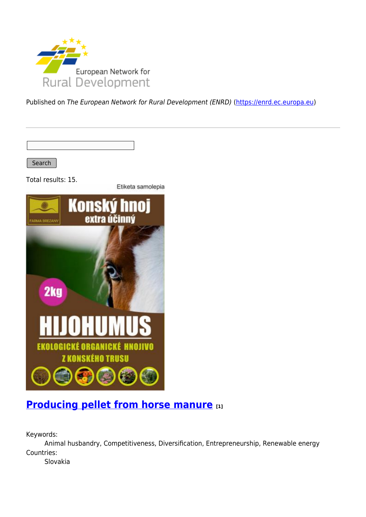

Published on The European Network for Rural Development (ENRD) [\(https://enrd.ec.europa.eu](https://enrd.ec.europa.eu))

Search

Total results: 15.

Etiketa samolepia



#### **[Producing pellet from horse manure](https://enrd.ec.europa.eu/projects-practice/producing-pellet-horse-manure_en) [1]**

Keywords:

Animal husbandry, Competitiveness, Diversification, Entrepreneurship, Renewable energy Countries:

Slovakia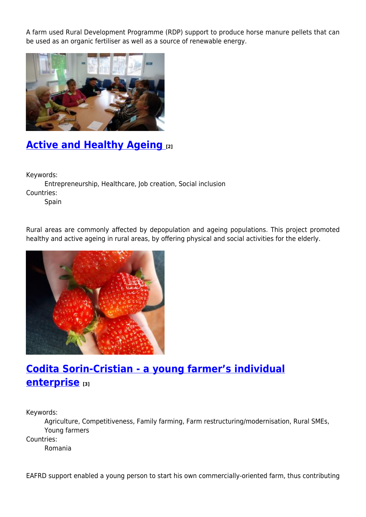A farm used Rural Development Programme (RDP) support to produce horse manure pellets that can be used as an organic fertiliser as well as a source of renewable energy.



## **[Active and Healthy Ageing](https://enrd.ec.europa.eu/projects-practice/active-and-healthy-ageing_en) [2]**

Keywords:

Entrepreneurship, Healthcare, Job creation, Social inclusion Countries:

Spain

Rural areas are commonly affected by depopulation and ageing populations. This project promoted healthy and active ageing in rural areas, by offering physical and social activities for the elderly.



### **[Codita Sorin-Cristian - a young farmer's individual](https://enrd.ec.europa.eu/projects-practice/codita-sorin-cristian-young-farmers-individual-enterprise_en) [enterprise](https://enrd.ec.europa.eu/projects-practice/codita-sorin-cristian-young-farmers-individual-enterprise_en) [3]**

Keywords:

Agriculture, Competitiveness, Family farming, Farm restructuring/modernisation, Rural SMEs, Young farmers

Countries:

Romania

EAFRD support enabled a young person to start his own commercially-oriented farm, thus contributing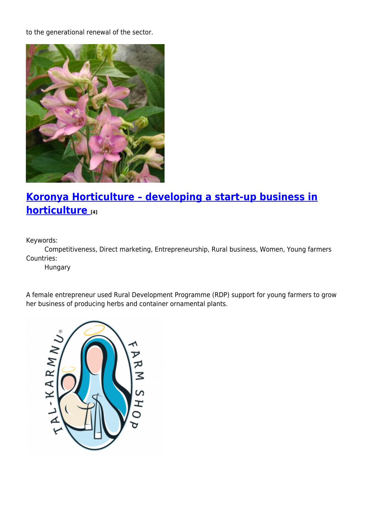to the generational renewal of the sector.



#### **[Koronya Horticulture – developing a start-up business in](https://enrd.ec.europa.eu/projects-practice/koronya-horticulture-developing-start-business-horticulture_en) [horticulture](https://enrd.ec.europa.eu/projects-practice/koronya-horticulture-developing-start-business-horticulture_en) [4]**

Keywords:

Competitiveness, Direct marketing, Entrepreneurship, Rural business, Women, Young farmers Countries:

Hungary

A female entrepreneur used Rural Development Programme (RDP) support for young farmers to grow her business of producing herbs and container ornamental plants.

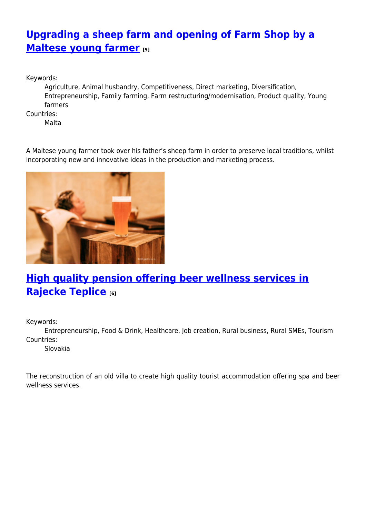# **[Upgrading a sheep farm and opening of Farm Shop by a](https://enrd.ec.europa.eu/projects-practice/upgrading-sheep-farm-and-opening-farm-shop-maltese-young-farmer_en) [Maltese young farmer](https://enrd.ec.europa.eu/projects-practice/upgrading-sheep-farm-and-opening-farm-shop-maltese-young-farmer_en) [5]**

Keywords:

Agriculture, Animal husbandry, Competitiveness, Direct marketing, Diversification, Entrepreneurship, Family farming, Farm restructuring/modernisation, Product quality, Young farmers

Countries:

Malta

A Maltese young farmer took over his father's sheep farm in order to preserve local traditions, whilst incorporating new and innovative ideas in the production and marketing process.



# **[High quality pension offering beer wellness services in](https://enrd.ec.europa.eu/projects-practice/high-quality-pension-offering-beer-wellness-services-rajecke-teplice_en) [Rajecke Teplice](https://enrd.ec.europa.eu/projects-practice/high-quality-pension-offering-beer-wellness-services-rajecke-teplice_en) [6]**

Keywords:

Entrepreneurship, Food & Drink, Healthcare, Job creation, Rural business, Rural SMEs, Tourism Countries:

Slovakia

The reconstruction of an old villa to create high quality tourist accommodation offering spa and beer wellness services.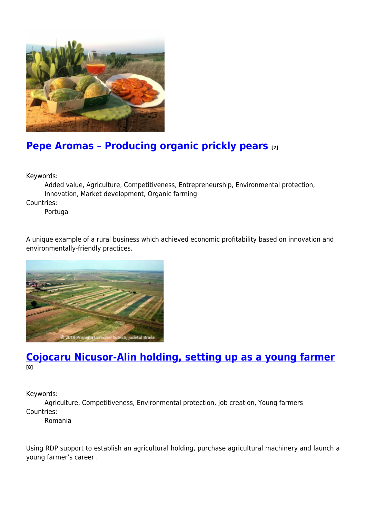

## **[Pepe Aromas – Producing organic prickly pears](https://enrd.ec.europa.eu/projects-practice/pepe-aromas-producing-organic-prickly-pears_en) [7]**

Keywords:

Added value, Agriculture, Competitiveness, Entrepreneurship, Environmental protection, Innovation, Market development, Organic farming

Countries:

Portugal

A unique example of a rural business which achieved economic profitability based on innovation and environmentally-friendly practices.



#### **[Cojocaru Nicusor-Alin holding, setting up as a young farmer](https://enrd.ec.europa.eu/projects-practice/cojocaru-nicusor-alin-holding-setting-young-farmer_en) [8]**

Keywords:

Agriculture, Competitiveness, Environmental protection, Job creation, Young farmers Countries:

Romania

Using RDP support to establish an agricultural holding, purchase agricultural machinery and launch a young farmer's career .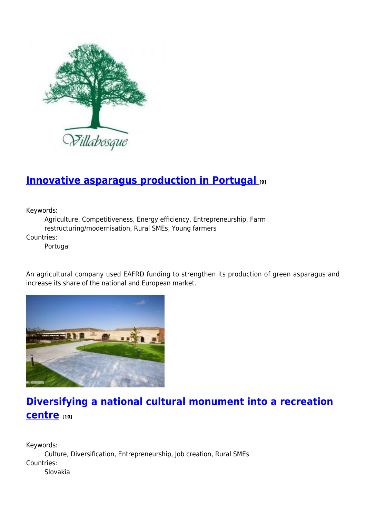

#### **[Innovative asparagus production in Portugal](https://enrd.ec.europa.eu/projects-practice/innovative-asparagus-production-portugal_en) [9]**

Keywords:

Agriculture, Competitiveness, Energy efficiency, Entrepreneurship, Farm restructuring/modernisation, Rural SMEs, Young farmers

Countries:

Portugal

An agricultural company used EAFRD funding to strengthen its production of green asparagus and increase its share of the national and European market.



# **[Diversifying a national cultural monument into a recreation](https://enrd.ec.europa.eu/projects-practice/diversifying-national-cultural-monument-recreation-centre_en) [centre](https://enrd.ec.europa.eu/projects-practice/diversifying-national-cultural-monument-recreation-centre_en) [10]**

Keywords: Culture, Diversification, Entrepreneurship, Job creation, Rural SMEs Countries: Slovakia